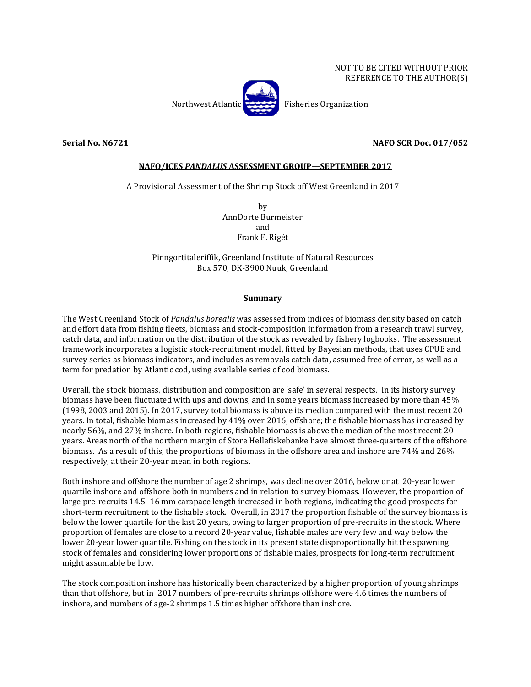

## **Serial No. N6721 NAFO SCR Doc. 017/052**

## **NAFO/ICES** *PANDALUS* **ASSESSMENT GROUP—SEPTEMBER 2017**

## A Provisional Assessment of the Shrimp Stock off West Greenland in 2017

by AnnDorte Burmeister and Frank F. Rigét

Pinngortitaleriffik, Greenland Institute of Natural Resources Box 570, DK-3900 Nuuk, Greenland

## **Summary**

The West Greenland Stock of *Pandalus borealis* was assessed from indices of biomass density based on catch and effort data from fishing fleets, biomass and stock-composition information from a research trawl survey, catch data, and information on the distribution of the stock as revealed by fishery logbooks. The assessment framework incorporates a logistic stock-recruitment model, fitted by Bayesian methods, that uses CPUE and survey series as biomass indicators, and includes as removals catch data, assumed free of error, as well as a term for predation by Atlantic cod, using available series of cod biomass.

Overall, the stock biomass, distribution and composition are 'safe' in several respects. In its history survey biomass have been fluctuated with ups and downs, and in some years biomass increased by more than 45% (1998, 2003 and 2015). In 2017, survey total biomass is above its median compared with the most recent 20 years. In total, fishable biomass increased by 41% over 2016, offshore; the fishable biomass has increased by nearly 56%, and 27% inshore. In both regions, fishable biomass is above the median of the most recent 20 years. Areas north of the northern margin of Store Hellefiskebanke have almost three-quarters of the offshore biomass. As a result of this, the proportions of biomass in the offshore area and inshore are 74% and 26% respectively, at their 20-year mean in both regions.

Both inshore and offshore the number of age 2 shrimps, was decline over 2016, below or at 20-year lower quartile inshore and offshore both in numbers and in relation to survey biomass. However, the proportion of large pre-recruits 14.5–16 mm carapace length increased in both regions, indicating the good prospects for short-term recruitment to the fishable stock. Overall, in 2017 the proportion fishable of the survey biomass is below the lower quartile for the last 20 years, owing to larger proportion of pre-recruits in the stock. Where proportion of females are close to a record 20-year value, fishable males are very few and way below the lower 20-year lower quantile. Fishing on the stock in its present state disproportionally hit the spawning stock of females and considering lower proportions of fishable males, prospects for long-term recruitment might assumable be low.

The stock composition inshore has historically been characterized by a higher proportion of young shrimps than that offshore, but in 2017 numbers of pre-recruits shrimps offshore were 4.6 times the numbers of inshore, and numbers of age-2 shrimps 1.5 times higher offshore than inshore.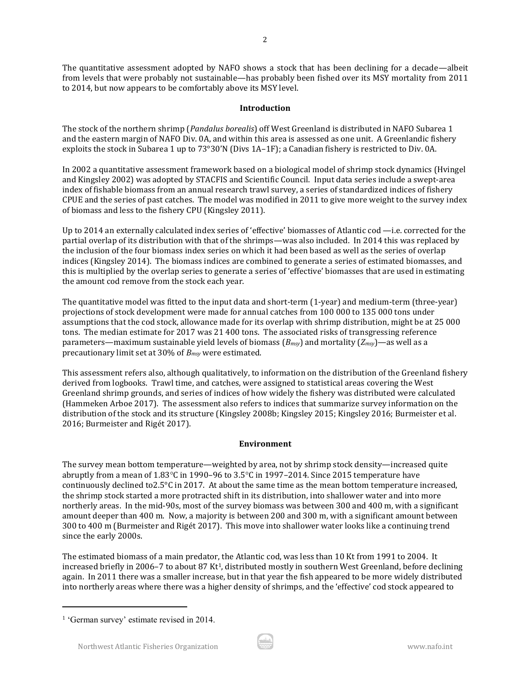The quantitative assessment adopted by NAFO shows a stock that has been declining for a decade—albeit from levels that were probably not sustainable—has probably been fished over its MSY mortality from 2011 to 2014, but now appears to be comfortably above its MSY level.

2

## **Introduction**

The stock of the northern shrimp (*Pandalus borealis*) off West Greenland is distributed in NAFO Subarea 1 and the eastern margin of NAFO Div. 0A, and within this area is assessed as one unit. A Greenlandic fishery exploits the stock in Subarea 1 up to 73°30'N (Divs 1A–1F); a Canadian fishery is restricted to Div. 0A.

In 2002 a quantitative assessment framework based on a biological model of shrimp stock dynamics (Hvingel and Kingsley 2002) was adopted by STACFIS and Scientific Council. Input data series include a swept-area index of fishable biomass from an annual research trawl survey, a series of standardized indices of fishery CPUE and the series of past catches. The model was modified in 2011 to give more weight to the survey index of biomass and less to the fishery CPU (Kingsley 2011).

Up to 2014 an externally calculated index series of 'effective' biomasses of Atlantic cod —i.e. corrected for the partial overlap of its distribution with that of the shrimps—was also included. In 2014 this was replaced by the inclusion of the four biomass index series on which it had been based as well as the series of overlap indices (Kingsley 2014). The biomass indices are combined to generate a series of estimated biomasses, and this is multiplied by the overlap series to generate a series of 'effective' biomasses that are used in estimating the amount cod remove from the stock each year.

The quantitative model was fitted to the input data and short-term (1-year) and medium-term (three-year) projections of stock development were made for annual catches from 100 000 to 135 000 tons under assumptions that the cod stock, allowance made for its overlap with shrimp distribution, might be at 25 000 tons. The median estimate for 2017 was 21 400 tons. The associated risks of transgressing reference parameters—maximum sustainable yield levels of biomass (*Bmsy*) and mortality (*Zmsy*)—as well as a precautionary limit set at 30% of *Bmsy* were estimated.

This assessment refers also, although qualitatively, to information on the distribution of the Greenland fishery derived from logbooks. Trawl time, and catches, were assigned to statistical areas covering the West Greenland shrimp grounds, and series of indices of how widely the fishery was distributed were calculated (Hammeken Arboe 2017). The assessment also refers to indices that summarize survey information on the distribution of the stock and its structure (Kingsley 2008b; Kingsley 2015; Kingsley 2016; Burmeister et al. 2016; Burmeister and Rigét 2017).

# **Environment**

The survey mean bottom temperature—weighted by area, not by shrimp stock density—increased quite abruptly from a mean of  $1.83^{\circ}$ C in 1990–96 to  $3.5^{\circ}$ C in 1997–2014. Since 2015 temperature have continuously declined to2.5°C in 2017. At about the same time as the mean bottom temperature increased, the shrimp stock started a more protracted shift in its distribution, into shallower water and into more northerly areas. In the mid-90s, most of the survey biomass was between 300 and 400 m, with a significant amount deeper than 400 m. Now, a majority is between 200 and 300 m, with a significant amount between 300 to 400 m (Burmeister and Rigét 2017). This move into shallower water looks like a continuing trend since the early 2000s.

The estimated biomass of a main predator, the Atlantic cod, was less than 10 Kt from 1991 to 2004. It increased briefly in 2006–7 to about 87 Kt<sup>1</sup>, distributed mostly in southern West Greenland, before declining again. In 2011 there was a smaller increase, but in that year the fish appeared to be more widely distributed into northerly areas where there was a higher density of shrimps, and the 'effective' cod stock appeared to

 $\overline{a}$ 

<sup>&</sup>lt;sup>1</sup> 'German survey' estimate revised in 2014.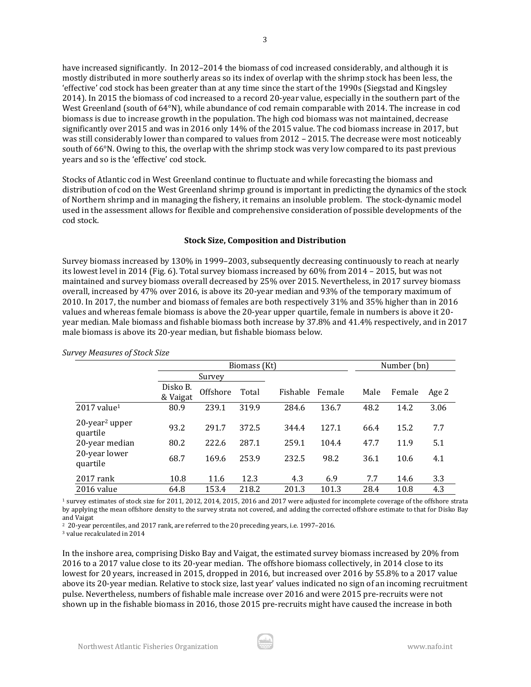have increased significantly. In 2012–2014 the biomass of cod increased considerably, and although it is mostly distributed in more southerly areas so its index of overlap with the shrimp stock has been less, the 'effective' cod stock has been greater than at any time since the start of the 1990s (Siegstad and Kingsley 2014). In 2015 the biomass of cod increased to a record 20-year value, especially in the southern part of the West Greenland (south of 64°N), while abundance of cod remain comparable with 2014. The increase in cod biomass is due to increase growth in the population. The high cod biomass was not maintained, decrease significantly over 2015 and was in 2016 only 14% of the 2015 value. The cod biomass increase in 2017, but was still considerably lower than compared to values from 2012 – 2015. The decrease were most noticeably south of 66°N. Owing to this, the overlap with the shrimp stock was very low compared to its past previous years and so is the 'effective' cod stock.

Stocks of Atlantic cod in West Greenland continue to fluctuate and while forecasting the biomass and distribution of cod on the West Greenland shrimp ground is important in predicting the dynamics of the stock of Northern shrimp and in managing the fishery, it remains an insoluble problem. The stock-dynamic model used in the assessment allows for flexible and comprehensive consideration of possible developments of the cod stock.

#### **Stock Size, Composition and Distribution**

Survey biomass increased by 130% in 1999–2003, subsequently decreasing continuously to reach at nearly its lowest level in 2014 (Fig. 6). Total survey biomass increased by 60% from 2014 – 2015, but was not maintained and survey biomass overall decreased by 25% over 2015. Nevertheless, in 2017 survey biomass overall, increased by 47% over 2016, is above its 20-year median and 93% of the temporary maximum of 2010. In 2017, the number and biomass of females are both respectively 31% and 35% higher than in 2016 values and whereas female biomass is above the 20-year upper quartile, female in numbers is above it 20 year median. Male biomass and fishable biomass both increase by 37.8% and 41.4% respectively, and in 2017 male biomass is above its 20-year median, but fishable biomass below.

|                                           |                      | Biomass (Kt) |       | Number (bn) |        |      |        |       |
|-------------------------------------------|----------------------|--------------|-------|-------------|--------|------|--------|-------|
|                                           | Survey               |              |       |             |        |      |        |       |
|                                           | Disko B.<br>& Vaigat | Offshore     | Total | Fishable    | Female | Male | Female | Age 2 |
| $2017$ value <sup>1</sup>                 | 80.9                 | 239.1        | 319.9 | 284.6       | 136.7  | 48.2 | 14.2   | 3.06  |
| $20$ -year <sup>2</sup> upper<br>quartile | 93.2                 | 291.7        | 372.5 | 344.4       | 127.1  | 66.4 | 15.2   | 7.7   |
| 20-year median                            | 80.2                 | 222.6        | 287.1 | 259.1       | 104.4  | 47.7 | 11.9   | 5.1   |
| 20-year lower<br>quartile                 | 68.7                 | 169.6        | 253.9 | 232.5       | 98.2   | 36.1 | 10.6   | 4.1   |
| $2017$ rank                               | 10.8                 | 11.6         | 12.3  | 4.3         | 6.9    | 7.7  | 14.6   | 3.3   |
| 2016 value                                | 64.8                 | 153.4        | 218.2 | 201.3       | 101.3  | 28.4 | 10.8   | 4.3   |

*Survey Measures of Stock Size*

<sup>1</sup> survey estimates of stock size for 2011, 2012, 2014, 2015, 2016 and 2017 were adjusted for incomplete coverage of the offshore strata by applying the mean offshore density to the survey strata not covered, and adding the corrected offshore estimate to that for Disko Bay and Vaigat

<sup>2</sup> 20-year percentiles, and 2017 rank, are referred to the 20 preceding years, i.e. 1997–2016.

<sup>3</sup> value recalculated in 2014

In the inshore area, comprising Disko Bay and Vaigat, the estimated survey biomass increased by 20% from 2016 to a 2017 value close to its 20-year median. The offshore biomass collectively, in 2014 close to its lowest for 20 years, increased in 2015, dropped in 2016, but increased over 2016 by 55.8% to a 2017 value above its 20-year median. Relative to stock size, last year' values indicated no sign of an incoming recruitment pulse. Nevertheless, numbers of fishable male increase over 2016 and were 2015 pre-recruits were not shown up in the fishable biomass in 2016, those 2015 pre-recruits might have caused the increase in both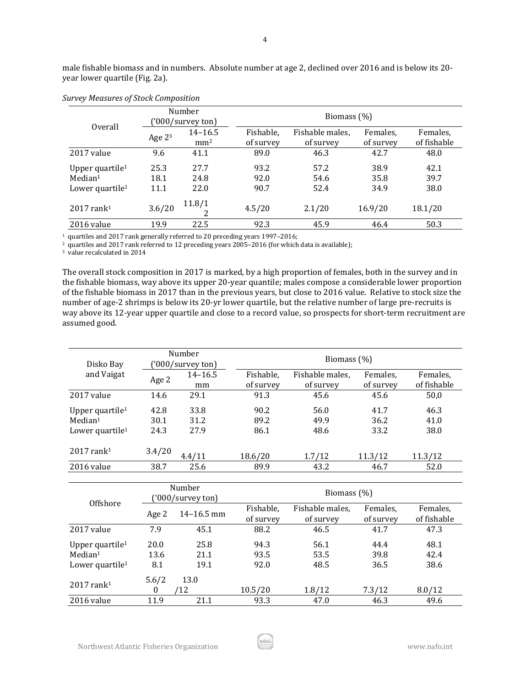|                                                                                   |                      | Number<br>'000/survey ton)     | Biomass (%)            |                              |                       |                         |  |  |
|-----------------------------------------------------------------------------------|----------------------|--------------------------------|------------------------|------------------------------|-----------------------|-------------------------|--|--|
| Overall                                                                           | Age $23$             | $14 - 16.5$<br>mm <sup>2</sup> | Fishable,<br>of survey | Fishable males,<br>of survey | Females.<br>of survey | Females.<br>of fishable |  |  |
| 2017 value                                                                        | 9.6                  | 41.1                           | 89.0                   | 46.3                         | 42.7                  | 48.0                    |  |  |
| Upper quartile <sup>1</sup><br>Median <sup>1</sup><br>Lower quartile <sup>1</sup> | 25.3<br>18.1<br>11.1 | 27.7<br>24.8<br>22.0           | 93.2<br>92.0<br>90.7   | 57.2<br>54.6<br>52.4         | 38.9<br>35.8<br>34.9  | 42.1<br>39.7<br>38.0    |  |  |
| $2017$ rank <sup>1</sup>                                                          | 3.6/20               | 11.8/1                         | 4.5/20                 | 2.1/20                       | 16.9/20               | 18.1/20                 |  |  |
| 2016 value                                                                        | 19.9                 | 22.5                           | 92.3                   | 45.9                         | 46.4                  | 50.3                    |  |  |

#### *Survey Measures of Stock Composition*

<sup>1</sup> quartiles and 2017 rank generally referred to 20 preceding years 1997–2016;

<sup>2</sup> quartiles and 2017 rank referred to 12 preceding years 2005-2016 (for which data is available);

<sup>3</sup> value recalculated in 2014

The overall stock composition in 2017 is marked, by a high proportion of females, both in the survey and in the fishable biomass, way above its upper 20-year quantile; males compose a considerable lower proportion of the fishable biomass in 2017 than in the previous years, but close to 2016 value. Relative to stock size the number of age-2 shrimps is below its 20-yr lower quartile, but the relative number of large pre-recruits is way above its 12-year upper quartile and close to a record value, so prospects for short-term recruitment are assumed good.

| Disko Bay                                                                         |                      | Number<br>('000/survey ton) | Biomass (%)            |                              |                       |                         |  |  |  |
|-----------------------------------------------------------------------------------|----------------------|-----------------------------|------------------------|------------------------------|-----------------------|-------------------------|--|--|--|
| and Vaigat                                                                        | Age 2                | $14 - 16.5$<br>mm           | Fishable,<br>of survey | Fishable males,<br>of survey | Females.<br>of survey | Females.<br>of fishable |  |  |  |
| 2017 value                                                                        | 14.6                 | 29.1                        | 91.3                   | 45.6                         | 45.6                  | 50,0                    |  |  |  |
| Upper quartile <sup>1</sup><br>Median <sup>1</sup><br>Lower quartile <sup>1</sup> | 42.8<br>30.1<br>24.3 | 33.8<br>31.2<br>27.9        | 90.2<br>89.2<br>86.1   | 56.0<br>49.9<br>48.6         | 41.7<br>36.2<br>33.2  | 46.3<br>41.0<br>38.0    |  |  |  |
| $2017$ rank <sup>1</sup>                                                          | 3.4/20               | 4.4/11                      | 18.6/20                | 1.7/12                       | 11.3/12               | 11.3/12                 |  |  |  |
| 2016 value                                                                        | 38.7                 | 25.6                        | 89.9                   | 43.2                         | 46.7                  | 52.0                    |  |  |  |

| Offshore                                           |                           | Number<br>('000/survey ton) | Biomass (%)            |                              |                       |                         |  |
|----------------------------------------------------|---------------------------|-----------------------------|------------------------|------------------------------|-----------------------|-------------------------|--|
|                                                    | Age 2                     | $14 - 16.5$ mm              | Fishable,<br>of survey | Fishable males,<br>of survey | Females.<br>of survey | Females.<br>of fishable |  |
| 2017 value                                         | 7.9                       | 45.1                        | 88.2                   | 46.5                         | 41.7                  | 47.3                    |  |
| Upper quartile <sup>1</sup><br>Median <sup>1</sup> | 20.0<br>13.6              | 25.8<br>21.1                | 94.3<br>93.5           | 56.1<br>53.5                 | 44.4<br>39.8          | 48.1<br>42.4            |  |
| Lower quartile <sup>1</sup>                        | 8.1                       | 19.1                        | 92.0                   | 48.5                         | 36.5                  | 38.6                    |  |
| $2017$ rank <sup>1</sup>                           | 5.6/2<br>$\boldsymbol{0}$ | 13.0<br>'12                 | 10.5/20                | 1.8/12                       | 7.3/12                | 8.0/12                  |  |
| 2016 value                                         | 11.9                      | 21.1                        | 93.3                   | 47.0                         | 46.3                  | 49.6                    |  |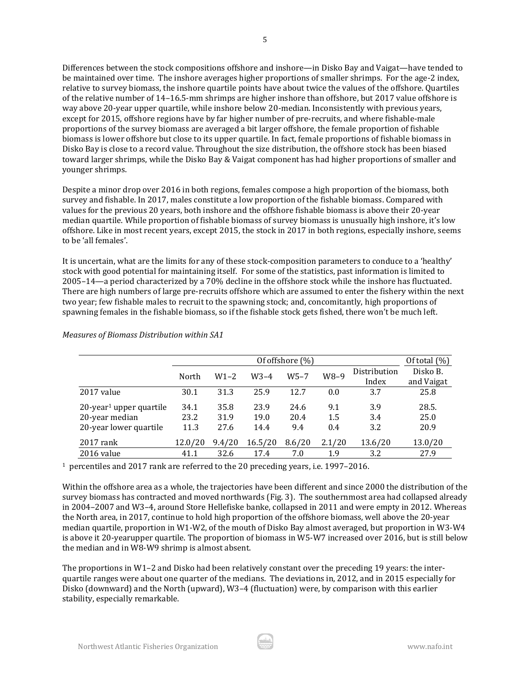Differences between the stock compositions offshore and inshore—in Disko Bay and Vaigat—have tended to be maintained over time. The inshore averages higher proportions of smaller shrimps. For the age-2 index, relative to survey biomass, the inshore quartile points have about twice the values of the offshore. Quartiles of the relative number of 14–16.5-mm shrimps are higher inshore than offshore, but 2017 value offshore is way above 20-year upper quartile, while inshore below 20-median. Inconsistently with previous years, except for 2015, offshore regions have by far higher number of pre-recruits, and where fishable-male proportions of the survey biomass are averaged a bit larger offshore, the female proportion of fishable biomass is lower offshore but close to its upper quartile. In fact, female proportions of fishable biomass in Disko Bay is close to a record value. Throughout the size distribution, the offshore stock has been biased toward larger shrimps, while the Disko Bay & Vaigat component has had higher proportions of smaller and younger shrimps.

Despite a minor drop over 2016 in both regions, females compose a high proportion of the biomass, both survey and fishable. In 2017, males constitute a low proportion of the fishable biomass. Compared with values for the previous 20 years, both inshore and the offshore fishable biomass is above their 20-year median quartile. While proportion of fishable biomass of survey biomass is unusually high inshore, it's low offshore. Like in most recent years, except 2015, the stock in 2017 in both regions, especially inshore, seems to be 'all females'.

It is uncertain, what are the limits for any of these stock-composition parameters to conduce to a 'healthy' stock with good potential for maintaining itself. For some of the statistics, past information is limited to 2005–14—a period characterized by a 70% decline in the offshore stock while the inshore has fluctuated. There are high numbers of large pre-recruits offshore which are assumed to enter the fishery within the next two year; few fishable males to recruit to the spawning stock; and, concomitantly, high proportions of spawning females in the fishable biomass, so if the fishable stock gets fished, there won't be much left.

|                                        |         | Of offshore (%) |         |          |         |              |            |  |  |  |
|----------------------------------------|---------|-----------------|---------|----------|---------|--------------|------------|--|--|--|
|                                        | North   | $W1 - 2$        | $W3-4$  | $W5 - 7$ | W8-9    | Distribution | Disko B.   |  |  |  |
|                                        |         |                 |         |          |         | Index        | and Vaigat |  |  |  |
| 2017 value                             | 30.1    | 31.3            | 25.9    | 12.7     | 0.0     | 3.7          | 25.8       |  |  |  |
| $20$ -year <sup>1</sup> upper quartile | 34.1    | 35.8            | 23.9    | 24.6     | 9.1     | 3.9          | 28.5.      |  |  |  |
| 20-year median                         | 23.2    | 31.9            | 19.0    | 20.4     | $1.5\,$ | 3.4          | 25.0       |  |  |  |
| 20-year lower quartile                 | 11.3    | 27.6            | 14.4    | 9.4      | 0.4     | 3.2          | 20.9       |  |  |  |
| $2017$ rank                            | 12.0/20 | 9.4/20          | 16.5/20 | 8.6/20   | 2.1/20  | 13.6/20      | 13.0/20    |  |  |  |
| 2016 value                             | 41.1    | 32.6            | 17.4    | 7.0      | 1.9     | 3.2          | 27.9       |  |  |  |

*Measures of Biomass Distribution within SA1*

<sup>1</sup> percentiles and 2017 rank are referred to the 20 preceding years, i.e. 1997–2016.

Within the offshore area as a whole, the trajectories have been different and since 2000 the distribution of the survey biomass has contracted and moved northwards (Fig. 3). The southernmost area had collapsed already in 2004–2007 and W3–4, around Store Hellefiske banke, collapsed in 2011 and were empty in 2012. Whereas the North area, in 2017, continue to hold high proportion of the offshore biomass, well above the 20-year median quartile, proportion in W1-W2, of the mouth of Disko Bay almost averaged, but proportion in W3-W4 is above it 20-yearupper quartile. The proportion of biomass in W5-W7 increased over 2016, but is still below the median and in W8-W9 shrimp is almost absent.

The proportions in W1–2 and Disko had been relatively constant over the preceding 19 years: the interquartile ranges were about one quarter of the medians. The deviations in, 2012, and in 2015 especially for Disko (downward) and the North (upward), W3–4 (fluctuation) were, by comparison with this earlier stability, especially remarkable.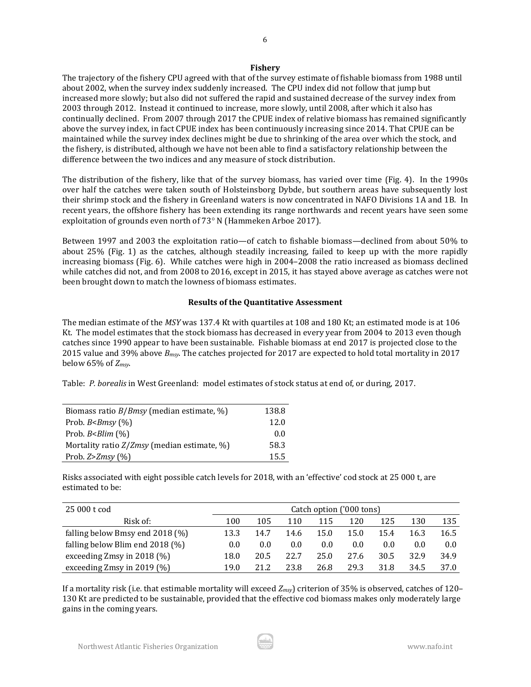#### **Fishery**

The trajectory of the fishery CPU agreed with that of the survey estimate of fishable biomass from 1988 until about 2002, when the survey index suddenly increased. The CPU index did not follow that jump but increased more slowly; but also did not suffered the rapid and sustained decrease of the survey index from 2003 through 2012. Instead it continued to increase, more slowly, until 2008, after which it also has continually declined. From 2007 through 2017 the CPUE index of relative biomass has remained significantly above the survey index, in fact CPUE index has been continuously increasing since 2014. That CPUE can be maintained while the survey index declines might be due to shrinking of the area over which the stock, and the fishery, is distributed, although we have not been able to find a satisfactory relationship between the difference between the two indices and any measure of stock distribution.

The distribution of the fishery, like that of the survey biomass, has varied over time (Fig. 4). In the 1990s over half the catches were taken south of Holsteinsborg Dybde, but southern areas have subsequently lost their shrimp stock and the fishery in Greenland waters is now concentrated in NAFO Divisions 1A and 1B. In recent years, the offshore fishery has been extending its range northwards and recent years have seen some exploitation of grounds even north of  $73°$  N (Hammeken Arboe 2017).

Between 1997 and 2003 the exploitation ratio—of catch to fishable biomass—declined from about 50% to about 25% (Fig. 1) as the catches, although steadily increasing, failed to keep up with the more rapidly increasing biomass (Fig. 6). While catches were high in 2004–2008 the ratio increased as biomass declined while catches did not, and from 2008 to 2016, except in 2015, it has stayed above average as catches were not been brought down to match the lowness of biomass estimates.

### **Results of the Quantitative Assessment**

The median estimate of the *MSY* was 137.4 Kt with quartiles at 108 and 180 Kt; an estimated mode is at 106 Kt. The model estimates that the stock biomass has decreased in every year from 2004 to 2013 even though catches since 1990 appear to have been sustainable. Fishable biomass at end 2017 is projected close to the 2015 value and 39% above *Bmsy*. The catches projected for 2017 are expected to hold total mortality in 2017 below 65% of *Zmsy*.

Table: *P. borealis* in West Greenland: model estimates of stock status at end of, or during, 2017.

| Biomass ratio $B/Bmsy$ (median estimate, %)   | 138.8 |
|-----------------------------------------------|-------|
| Prob. $B$ < $B$ msy $(\%)$                    | 12.0  |
| Prob. $BBlim (%)$                             | 0.0   |
| Mortality ratio $Z/Zmsy$ (median estimate, %) | 58.3  |
| Prob. $Z > Z$ <i>msy</i> $(\%)$               | 15.5  |

Risks associated with eight possible catch levels for 2018, with an 'effective' cod stock at 25 000 t, are estimated to be:

| 25 000 t cod                      | Catch option ('000 tons) |      |      |      |      |      |      |      |
|-----------------------------------|--------------------------|------|------|------|------|------|------|------|
| Risk of:                          | 100                      | 105  | 110  | 115  | 120  | 125  | 130  | 135  |
| falling below Bmsy end $2018$ (%) | 13.3                     | 14.7 | 14.6 | 15.0 | 15.0 | 15.4 | 16.3 | 16.5 |
| falling below Blim end $2018$ (%) | 0.0                      | 0.0  | 0.0  | 0.0  | 0.0  | 0.0  | 0.0  | 0.0  |
| exceeding Zmsy in $2018$ (%)      | 18.0                     | 20.5 | 22.7 | 25.0 | 27.6 | 30.5 | 32.9 | 34.9 |
| exceeding Zmsy in 2019 $(\%)$     | 19.0                     | 21.2 | 23.8 | 26.8 | 29.3 | 31.8 | 34.5 | 37.0 |

If a mortality risk (i.e. that estimable mortality will exceed *Zmsy*) criterion of 35% is observed, catches of 120– 130 Kt are predicted to be sustainable, provided that the effective cod biomass makes only moderately large gains in the coming years.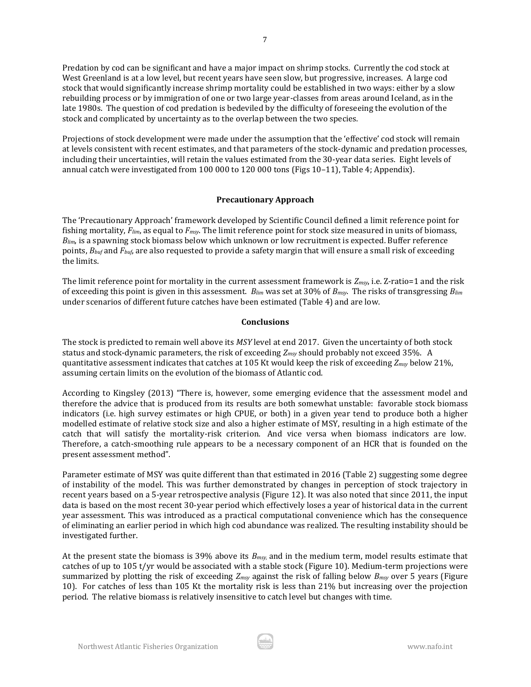Predation by cod can be significant and have a major impact on shrimp stocks. Currently the cod stock at West Greenland is at a low level, but recent years have seen slow, but progressive, increases. A large cod stock that would significantly increase shrimp mortality could be established in two ways: either by a slow rebuilding process or by immigration of one or two large year-classes from areas around Iceland, as in the late 1980s. The question of cod predation is bedeviled by the difficulty of foreseeing the evolution of the stock and complicated by uncertainty as to the overlap between the two species.

Projections of stock development were made under the assumption that the 'effective' cod stock will remain at levels consistent with recent estimates, and that parameters of the stock-dynamic and predation processes, including their uncertainties, will retain the values estimated from the 30-year data series. Eight levels of annual catch were investigated from 100 000 to 120 000 tons (Figs 10–11), Table 4; Appendix).

### **Precautionary Approach**

The 'Precautionary Approach' framework developed by Scientific Council defined a limit reference point for fishing mortality, *Flim*, as equal to *Fmsy*. The limit reference point for stock size measured in units of biomass, *Blim*, is a spawning stock biomass below which unknown or low recruitment is expected. Buffer reference points, *Bbuf* and *Fbuf*, are also requested to provide a safety margin that will ensure a small risk of exceeding the limits.

The limit reference point for mortality in the current assessment framework is *Zmsy*, i.e. Z-ratio=1 and the risk of exceeding this point is given in this assessment. *Blim* was set at 30% of *Bmsy*. The risks of transgressing *Blim* under scenarios of different future catches have been estimated (Table 4) and are low.

### **Conclusions**

The stock is predicted to remain well above its *MSY* level at end 2017. Given the uncertainty of both stock status and stock-dynamic parameters, the risk of exceeding *Zmsy* should probably not exceed 35%. A quantitative assessment indicates that catches at 105 Kt would keep the risk of exceeding *Zmsy* below 21%, assuming certain limits on the evolution of the biomass of Atlantic cod.

According to Kingsley (2013) "There is, however, some emerging evidence that the assessment model and therefore the advice that is produced from its results are both somewhat unstable: favorable stock biomass indicators (i.e. high survey estimates or high CPUE, or both) in a given year tend to produce both a higher modelled estimate of relative stock size and also a higher estimate of MSY, resulting in a high estimate of the catch that will satisfy the mortality-risk criterion. And vice versa when biomass indicators are low. Therefore, a catch-smoothing rule appears to be a necessary component of an HCR that is founded on the present assessment method".

Parameter estimate of MSY was quite different than that estimated in 2016 (Table 2) suggesting some degree of instability of the model. This was further demonstrated by changes in perception of stock trajectory in recent years based on a 5-year retrospective analysis (Figure 12). It was also noted that since 2011, the input data is based on the most recent 30-year period which effectively loses a year of historical data in the current year assessment. This was introduced as a practical computational convenience which has the consequence of eliminating an earlier period in which high cod abundance was realized. The resulting instability should be investigated further.

At the present state the biomass is 39% above its *Bmsy,* and in the medium term, model results estimate that catches of up to 105 t/yr would be associated with a stable stock (Figure 10). Medium-term projections were summarized by plotting the risk of exceeding *Zmsy* against the risk of falling below *Bmsy* over 5 years (Figure 10). For catches of less than 105 Kt the mortality risk is less than 21% but increasing over the projection period. The relative biomass is relatively insensitive to catch level but changes with time.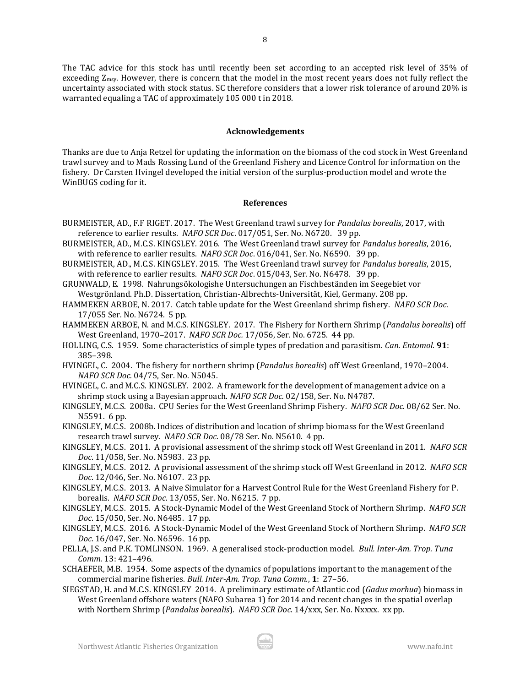The TAC advice for this stock has until recently been set according to an accepted risk level of 35% of exceeding Zmsy. However, there is concern that the model in the most recent years does not fully reflect the uncertainty associated with stock status. SC therefore considers that a lower risk tolerance of around 20% is warranted equaling a TAC of approximately 105 000 t in 2018.

### **Acknowledgements**

Thanks are due to Anja Retzel for updating the information on the biomass of the cod stock in West Greenland trawl survey and to Mads Rossing Lund of the Greenland Fishery and Licence Control for information on the fishery. Dr Carsten Hvingel developed the initial version of the surplus-production model and wrote the WinBUGS coding for it.

#### **References**

- BURMEISTER, AD., F.F RIGET. 2017. The West Greenland trawl survey for *Pandalus borealis*, 2017, with reference to earlier results. *NAFO SCR Doc*. 017/051, Ser. No. N6720. 39 pp.
- BURMEISTER, AD., M.C.S. KINGSLEY. 2016. The West Greenland trawl survey for *Pandalus borealis*, 2016, with reference to earlier results. *NAFO SCR Doc*. 016/041, Ser. No. N6590. 39 pp.
- BURMEISTER, AD., M.C.S. KINGSLEY. 2015. The West Greenland trawl survey for *Pandalus borealis*, 2015, with reference to earlier results. *NAFO SCR Doc*. 015/043, Ser. No. N6478. 39 pp.
- GRUNWALD, E. 1998. Nahrungsökologishe Untersuchungen an Fischbeständen im Seegebiet vor Westgrönland. Ph.D. Dissertation, Christian-Albrechts-Universität, Kiel, Germany. 208 pp.
- HAMMEKEN ARBOE, N. 2017. Catch table update for the West Greenland shrimp fishery. *NAFO SCR Doc*. 17/055 Ser. No. N6724. 5 pp.
- HAMMEKEN ARBOE, N. and M.C.S. KINGSLEY. 2017. The Fishery for Northern Shrimp (*Pandalus borealis*) off West Greenland, 1970–2017. *NAFO SCR Doc.* 17/056, Ser. No. 6725. 44 pp.
- HOLLING, C.S. 1959. Some characteristics of simple types of predation and parasitism. *Can. Entomol.* **91**: 385–398.
- HVINGEL, C. 2004. The fishery for northern shrimp (*Pandalus borealis*) off West Greenland, 1970–2004. *NAFO SCR Doc.* 04/75, Ser. No. N5045.
- HVINGEL, C. and M.C.S. KINGSLEY. 2002. A framework for the development of management advice on a shrimp stock using a Bayesian approach. *NAFO SCR Doc.* 02/158, Ser. No. N4787.
- KINGSLEY, M.C.S. 2008a. CPU Series for the West Greenland Shrimp Fishery. *NAFO SCR Doc*. 08/62 Ser. No. N5591. 6 pp.
- KINGSLEY, M.C.S. 2008b. Indices of distribution and location of shrimp biomass for the West Greenland research trawl survey. *NAFO SCR Doc*. 08/78 Ser. No. N5610. 4 pp.
- KINGSLEY, M.C.S. 2011. A provisional assessment of the shrimp stock off West Greenland in 2011. *NAFO SCR Doc*. 11/058, Ser. No. N5983. 23 pp.
- KINGSLEY, M.C.S. 2012. A provisional assessment of the shrimp stock off West Greenland in 2012. *NAFO SCR Doc*. 12/046, Ser. No. N6107. 23 pp.
- KINGSLEY, M.C.S. 2013. A Naive Simulator for a Harvest Control Rule for the West Greenland Fishery for P. borealis. *NAFO SCR Doc*. 13/055, Ser. No. N6215. 7 pp.
- KINGSLEY, M.C.S. 2015. A Stock-Dynamic Model of the West Greenland Stock of Northern Shrimp. *NAFO SCR Doc*. 15/050, Ser. No. N6485. 17 pp.
- KINGSLEY, M.C.S. 2016. A Stock-Dynamic Model of the West Greenland Stock of Northern Shrimp. *NAFO SCR Doc*. 16/047, Ser. No. N6596. 16 pp.
- PELLA, J.S. and P.K. TOMLINSON. 1969. A generalised stock-production model. *Bull. Inter-Am. Trop. Tuna Comm.* 13: 421–496.
- SCHAEFER, M.B. 1954. Some aspects of the dynamics of populations important to the management of the commercial marine fisheries. *Bull. Inter-Am. Trop. Tuna Comm.*, **1**: 27–56.
- SIEGSTAD, H. and M.C.S. KINGSLEY 2014. A preliminary estimate of Atlantic cod (*Gadus morhua*) biomass in West Greenland offshore waters (NAFO Subarea 1) for 2014 and recent changes in the spatial overlap with Northern Shrimp (*Pandalus borealis*). *NAFO SCR Doc*. 14/xxx, Ser. No. Nxxxx. xx pp.

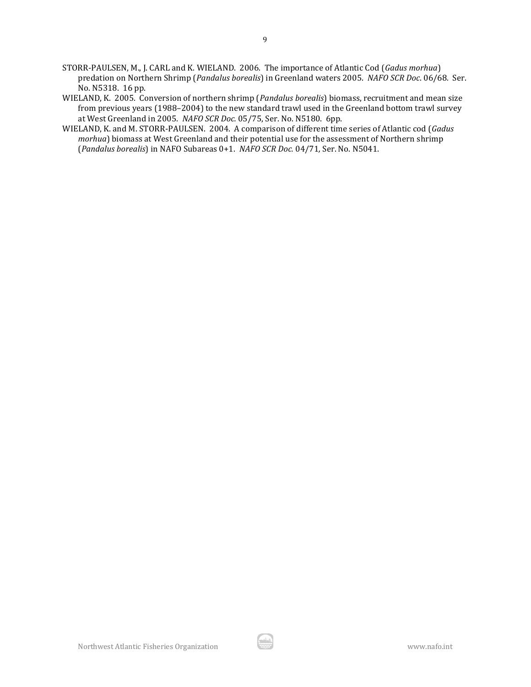- STORR-PAULSEN, M., J. CARL and K. WIELAND. 2006. The importance of Atlantic Cod (*Gadus morhua*) predation on Northern Shrimp (*Pandalus borealis*) in Greenland waters 2005. *NAFO SCR Doc*. 06/68*.* Ser. No. N5318. 16 pp.
- WIELAND, K. 2005. Conversion of northern shrimp (*Pandalus borealis*) biomass, recruitment and mean size from previous years (1988–2004) to the new standard trawl used in the Greenland bottom trawl survey at West Greenland in 2005. *NAFO SCR Doc.* 05/75, Ser. No. N5180. 6pp.
- WIELAND, K. and M. STORR-PAULSEN. 2004. A comparison of different time series of Atlantic cod (*Gadus morhua*) biomass at West Greenland and their potential use for the assessment of Northern shrimp (*Pandalus borealis*) in NAFO Subareas 0+1. *NAFO SCR Doc.* 04/71*,* Ser. No. N5041.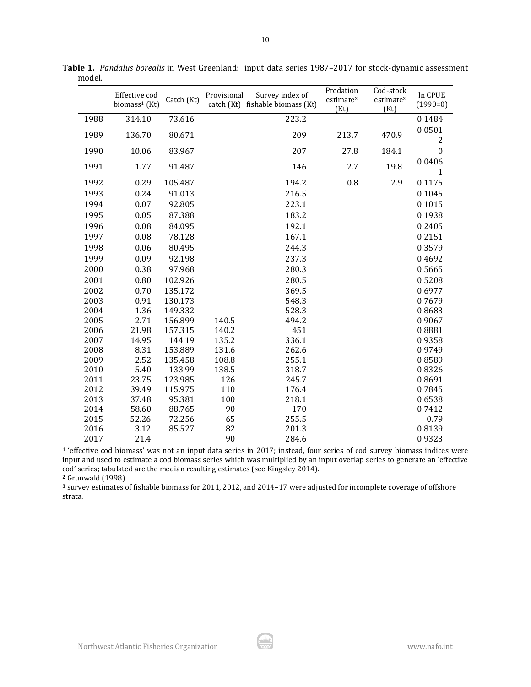|      | Effective cod<br>biomass <sup>1</sup> (Kt) | Catch (Kt) | Provisional | Survey index of<br>catch (Kt) fishable biomass (Kt) | Predation<br>estimate <sup>2</sup><br>(Kt) | Cod-stock<br>estimate <sup>2</sup><br>(Kt) | In CPUE<br>$(1990=0)$    |
|------|--------------------------------------------|------------|-------------|-----------------------------------------------------|--------------------------------------------|--------------------------------------------|--------------------------|
| 1988 | 314.10                                     | 73.616     |             | 223.2                                               |                                            |                                            | 0.1484                   |
| 1989 | 136.70                                     | 80.671     |             | 209                                                 | 213.7                                      | 470.9                                      | 0.0501<br>$\overline{2}$ |
| 1990 | 10.06                                      | 83.967     |             | 207                                                 | 27.8                                       | 184.1                                      | $\boldsymbol{0}$         |
| 1991 | 1.77                                       | 91.487     |             | 146                                                 | 2.7                                        | 19.8                                       | 0.0406<br>1              |
| 1992 | 0.29                                       | 105.487    |             | 194.2                                               | 0.8                                        | 2.9                                        | 0.1175                   |
| 1993 | 0.24                                       | 91.013     |             | 216.5                                               |                                            |                                            | 0.1045                   |
| 1994 | 0.07                                       | 92.805     |             | 223.1                                               |                                            |                                            | 0.1015                   |
| 1995 | 0.05                                       | 87.388     |             | 183.2                                               |                                            |                                            | 0.1938                   |
| 1996 | 0.08                                       | 84.095     |             | 192.1                                               |                                            |                                            | 0.2405                   |
| 1997 | 0.08                                       | 78.128     |             | 167.1                                               |                                            |                                            | 0.2151                   |
| 1998 | 0.06                                       | 80.495     |             | 244.3                                               |                                            |                                            | 0.3579                   |
| 1999 | 0.09                                       | 92.198     |             | 237.3                                               |                                            |                                            | 0.4692                   |
| 2000 | 0.38                                       | 97.968     |             | 280.3                                               |                                            |                                            | 0.5665                   |
| 2001 | 0.80                                       | 102.926    |             | 280.5                                               |                                            |                                            | 0.5208                   |
| 2002 | 0.70                                       | 135.172    |             | 369.5                                               |                                            |                                            | 0.6977                   |
| 2003 | 0.91                                       | 130.173    |             | 548.3                                               |                                            |                                            | 0.7679                   |
| 2004 | 1.36                                       | 149.332    |             | 528.3                                               |                                            |                                            | 0.8683                   |
| 2005 | 2.71                                       | 156.899    | 140.5       | 494.2                                               |                                            |                                            | 0.9067                   |
| 2006 | 21.98                                      | 157.315    | 140.2       | 451                                                 |                                            |                                            | 0.8881                   |
| 2007 | 14.95                                      | 144.19     | 135.2       | 336.1                                               |                                            |                                            | 0.9358                   |
| 2008 | 8.31                                       | 153.889    | 131.6       | 262.6                                               |                                            |                                            | 0.9749                   |
| 2009 | 2.52                                       | 135.458    | 108.8       | 255.1                                               |                                            |                                            | 0.8589                   |
| 2010 | 5.40                                       | 133.99     | 138.5       | 318.7                                               |                                            |                                            | 0.8326                   |
| 2011 | 23.75                                      | 123.985    | 126         | 245.7                                               |                                            |                                            | 0.8691                   |
| 2012 | 39.49                                      | 115.975    | 110         | 176.4                                               |                                            |                                            | 0.7845                   |
| 2013 | 37.48                                      | 95.381     | 100         | 218.1                                               |                                            |                                            | 0.6538                   |
| 2014 | 58.60                                      | 88.765     | 90          | 170                                                 |                                            |                                            | 0.7412                   |
| 2015 | 52.26                                      | 72.256     | 65          | 255.5                                               |                                            |                                            | 0.79                     |
| 2016 | 3.12                                       | 85.527     | 82          | 201.3                                               |                                            |                                            | 0.8139                   |
| 2017 | 21.4                                       |            | 90          | 284.6                                               |                                            |                                            | 0.9323                   |

**Table 1.** *Pandalus borealis* in West Greenland:input data series 1987–2017 for stock-dynamic assessment model.

 'effective cod biomass' was not an input data series in 2017; instead, four series of cod survey biomass indices were input and used to estimate a cod biomass series which was multiplied by an input overlap series to generate an 'effective cod' series; tabulated are the median resulting estimates (see Kingsley 2014).

Grunwald (1998).

 survey estimates of fishable biomass for 2011, 2012, and 2014–17 were adjusted for incomplete coverage of offshore strata.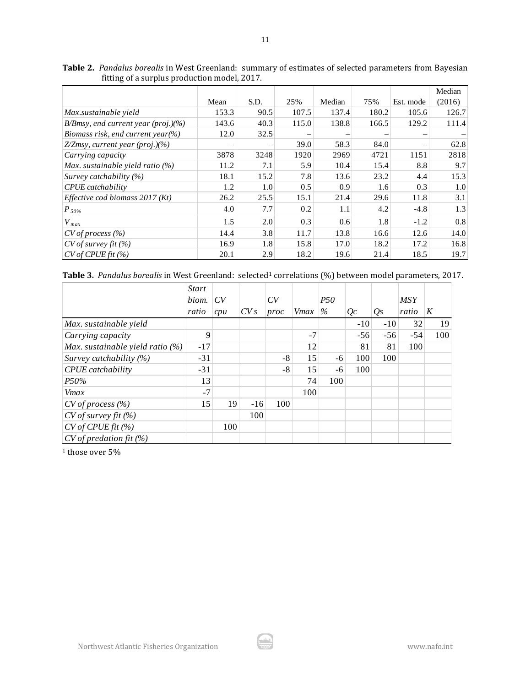|                                        |       |                   |       |        |       |           | Median |
|----------------------------------------|-------|-------------------|-------|--------|-------|-----------|--------|
|                                        | Mean  | S.D.              | 25%   | Median | 75%   | Est. mode | (2016) |
| Max.sustainable yield                  | 153.3 | 90.5              | 107.5 | 137.4  | 180.2 | 105.6     | 126.7  |
| $B/Bmsy$ , end current year (proj.)(%) | 143.6 | 40.3              | 115.0 | 138.8  | 166.5 | 129.2     | 111.4  |
| Biomass risk, end current year(%)      | 12.0  | 32.5              |       |        |       |           |        |
| $Z/Z$ msy, current year (proj.)(%)     |       | $\qquad \qquad -$ | 39.0  | 58.3   | 84.0  |           | 62.8   |
| Carrying capacity                      | 3878  | 3248              | 1920  | 2969   | 4721  | 1151      | 2818   |
| Max. sustainable yield ratio (%)       | 11.2  | 7.1               | 5.9   | 10.4   | 15.4  | 8.8       | 9.7    |
| Survey catchability (%)                | 18.1  | 15.2              | 7.8   | 13.6   | 23.2  | 4.4       | 15.3   |
| CPUE catchability                      | 1.2   | 1.0               | 0.5   | 0.9    | 1.6   | 0.3       | 1.0    |
| Effective cod biomass 2017 (Kt)        | 26.2  | 25.5              | 15.1  | 21.4   | 29.6  | 11.8      | 3.1    |
| $ P_{50\%} $                           | 4.0   | 7.7               | 0.2   | 1.1    | 4.2   | $-4.8$    | 1.3    |
| $V_{max}$                              | 1.5   | 2.0               | 0.3   | 0.6    | 1.8   | $-1.2$    | 0.8    |
| $CV$ of process $(\% )$                | 14.4  | 3.8               | 11.7  | 13.8   | 16.6  | 12.6      | 14.0   |
| $CV$ of survey fit $(\%)$              | 16.9  | 1.8               | 15.8  | 17.0   | 18.2  | 17.2      | 16.8   |
| CV of CPUs fit (%)                     | 20.1  | 2.9               | 18.2  | 19.6   | 21.4  | 18.5      | 19.7   |

**Table 2.** *Pandalus borealis* in West Greenland: summary of estimates of selected parameters from Bayesian fitting of a surplus production model, 2017.

| Table 3. Pandalus borealis in West Greenland: selected <sup>1</sup> correlations (%) between model parameters, 2017. |  |  |
|----------------------------------------------------------------------------------------------------------------------|--|--|
|----------------------------------------------------------------------------------------------------------------------|--|--|

|                                    | Start |     |       |      |      |            |       |       |            |     |
|------------------------------------|-------|-----|-------|------|------|------------|-------|-------|------------|-----|
|                                    | biom. | CV  |       | CV   |      | <i>P50</i> |       |       | <b>MSY</b> |     |
|                                    | ratio | cpu | CVs   | proc | Vmax | $\%$       | Qc    | Os    | ratio      | K   |
| Max. sustainable yield             |       |     |       |      |      |            | $-10$ | $-10$ | 32         | 19  |
| Carrying capacity                  | 9     |     |       |      | $-7$ |            | $-56$ | $-56$ | $-54$      | 100 |
| Max. sustainable yield ratio $(%)$ | $-17$ |     |       |      | 12   |            | 81    | 81    | 100        |     |
| Survey catchability $(%)$          | $-31$ |     |       | $-8$ | 15   | $-6$       | 100   | 100   |            |     |
| CPUE catchability                  | $-31$ |     |       | -8   | 15   | -6         | 100   |       |            |     |
| P50%                               | 13    |     |       |      | 74   | 100        |       |       |            |     |
| Vmax                               | $-7$  |     |       |      | 100  |            |       |       |            |     |
| $CV$ of process $(\%)$             | 15    | 19  | $-16$ | 100  |      |            |       |       |            |     |
| CV of survey fit (%)               |       |     | 100   |      |      |            |       |       |            |     |
| CV of CPUE fit (%)                 |       | 100 |       |      |      |            |       |       |            |     |
| CV of predation fit (%)            |       |     |       |      |      |            |       |       |            |     |

 $^{\rm 1}$  those over 5%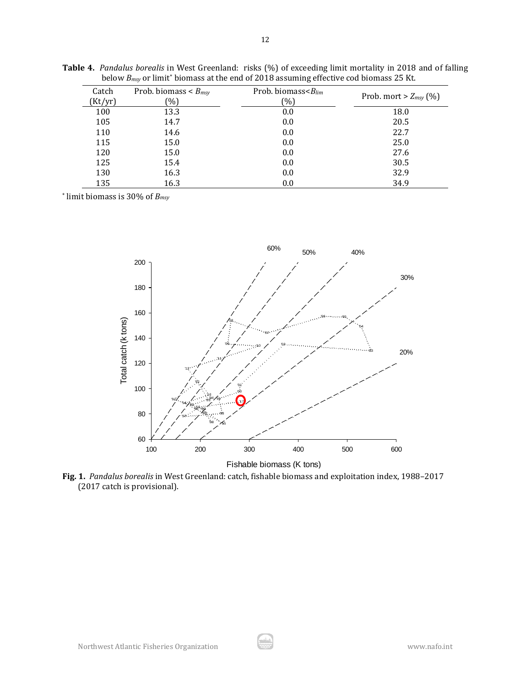| Catch<br>(Kt/yr) | Prob. biomass $\lt B_{msy}$<br>$\binom{0}{0}$ | Prob. biomass $\leq B_{lim}$<br>(96) | Prob. mort $> Z_{msy}$ (%) |
|------------------|-----------------------------------------------|--------------------------------------|----------------------------|
| 100              | 13.3                                          | 0.0                                  | 18.0                       |
| 105              | 14.7                                          | 0.0                                  | 20.5                       |
| 110              | 14.6                                          | 0.0                                  | 22.7                       |
| 115              | 15.0                                          | 0.0                                  | 25.0                       |
| 120              | 15.0                                          | 0.0                                  | 27.6                       |
| 125              | 15.4                                          | 0.0                                  | 30.5                       |
| 130              | 16.3                                          | 0.0                                  | 32.9                       |
| 135              | 16.3                                          | 0.0                                  | 34.9                       |

**Table 4.** *Pandalus borealis* in West Greenland: risks (%) of exceeding limit mortality in 2018 and of falling below *Bmsy* or limit\* biomass at the end of 2018 assuming effective cod biomass 25 Kt.

\* limit biomass is 30% of *Bmsy*



**Fig. 1.** *Pandalus borealis* in West Greenland: catch, fishable biomass and exploitation index, 1988–2017 (2017 catch is provisional).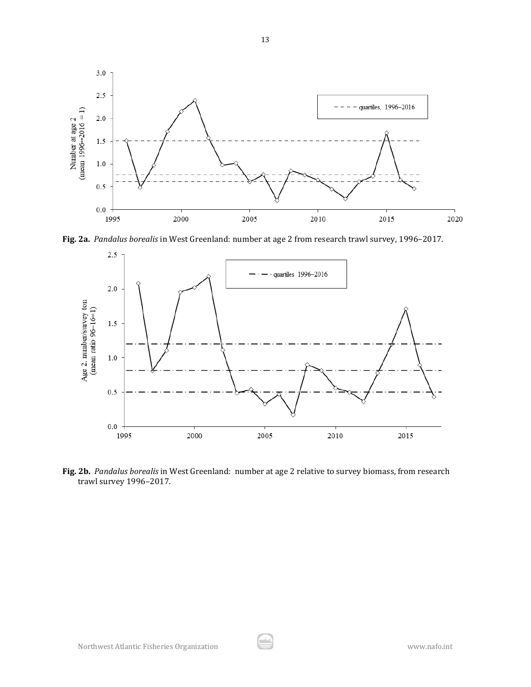

**Fig. 2a.** *Pandalus borealis* in West Greenland: number at age 2 from research trawl survey, 1996–2017.



**Fig. 2b.** *Pandalus borealis* in West Greenland: number at age 2 relative to survey biomass, from research trawl survey 1996–2017.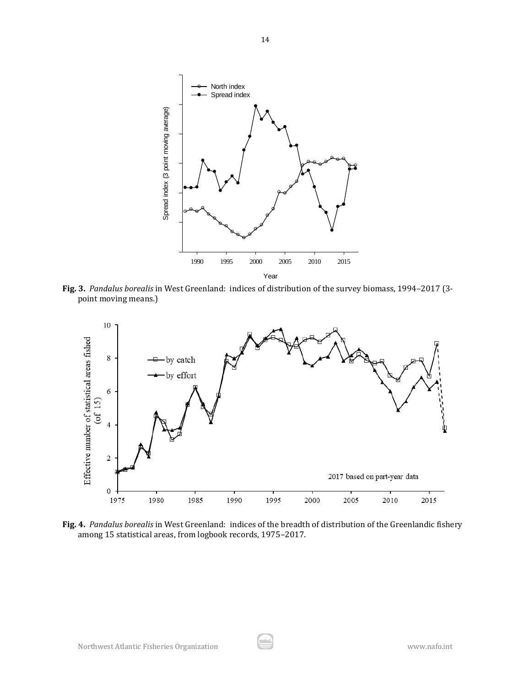

**Fig. 3.** *Pandalus borealis* in West Greenland: indices of distribution of the survey biomass, 1994–2017 (3 point moving means.)



**Fig. 4.** *Pandalus borealis* in West Greenland: indices of the breadth of distribution of the Greenlandic fishery among 15 statistical areas, from logbook records, 1975–2017.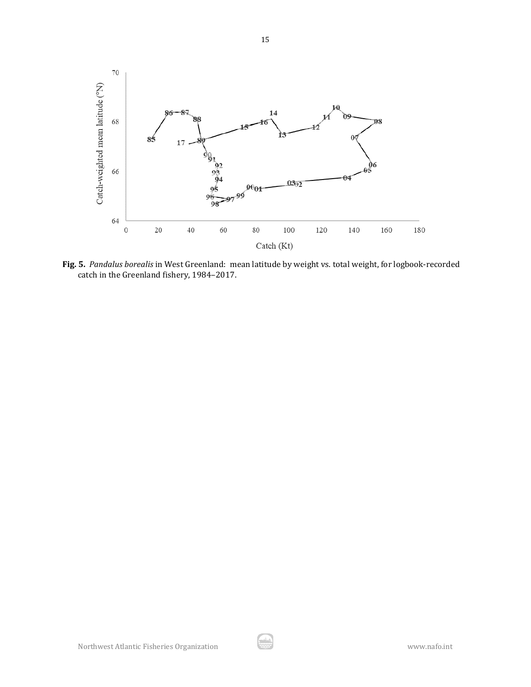

**Fig. 5.** *Pandalus borealis* in West Greenland: mean latitude by weight vs. total weight, for logbook-recorded catch in the Greenland fishery, 1984–2017.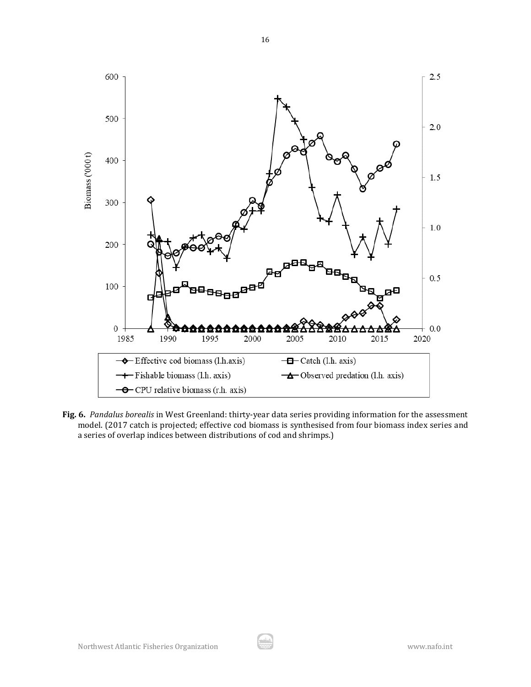

**Fig. 6.** *Pandalus borealis* in West Greenland: thirty-year data series providing information for the assessment model. (2017 catch is projected; effective cod biomass is synthesised from four biomass index series and a series of overlap indices between distributions of cod and shrimps.)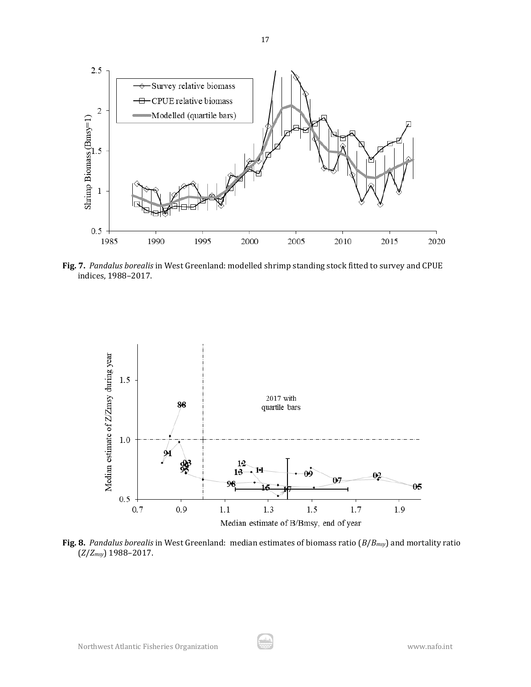

**Fig. 7.** *Pandalus borealis* in West Greenland: modelled shrimp standing stock fitted to survey and CPUE indices, 1988–2017.



**Fig. 8.** *Pandalus borealis* in West Greenland: median estimates of biomass ratio (*B*/*Bmsy*) and mortality ratio (*Z*/*Zmsy*) 1988–2017.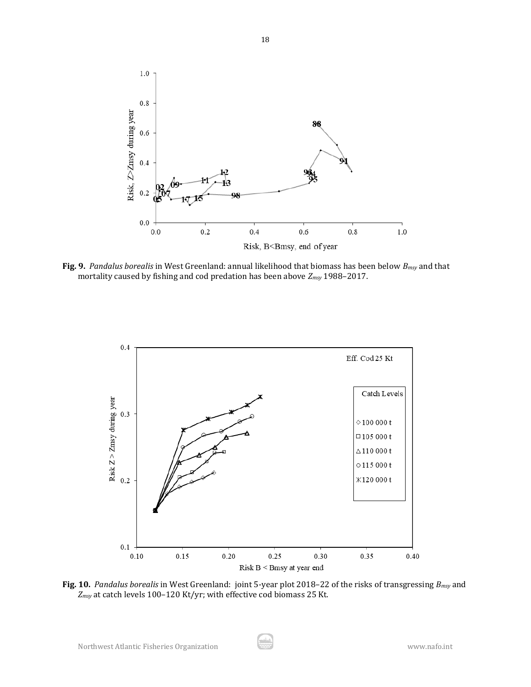

**Fig. 9.** *Pandalus borealis* in West Greenland: annual likelihood that biomass has been below *Bmsy* and that mortality caused by fishing and cod predation has been above *Zmsy* 1988–2017.



**Fig. 10.** *Pandalus borealis* in West Greenland: joint 5-year plot 2018–22 of the risks of transgressing *Bmsy* and *Zmsy* at catch levels 100–120 Kt/yr; with effective cod biomass 25 Kt.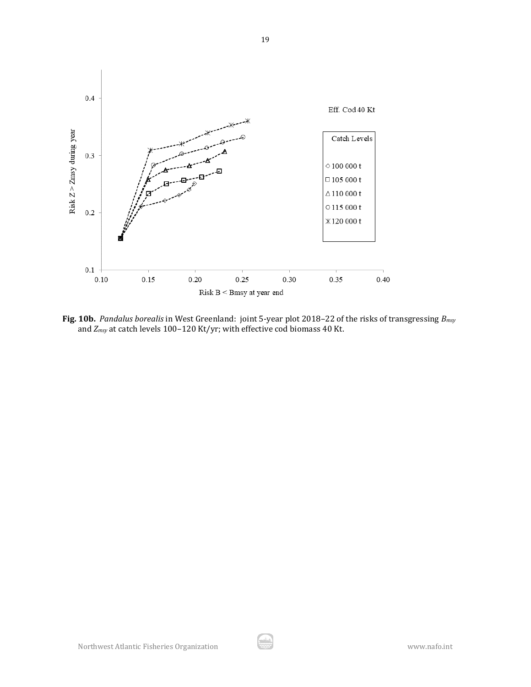

**Fig. 10b.** *Pandalus borealis* in West Greenland: joint 5-year plot 2018–22 of the risks of transgressing *Bmsy* and *Zmsy* at catch levels 100–120 Kt/yr; with effective cod biomass 40 Kt.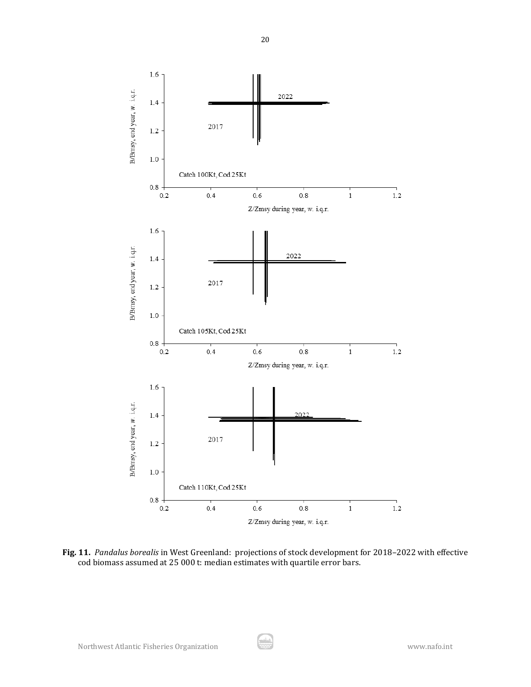

**Fig. 11.** *Pandalus borealis* in West Greenland: projections of stock development for 2018–2022 with effective cod biomass assumed at 25 000 t: median estimates with quartile error bars.